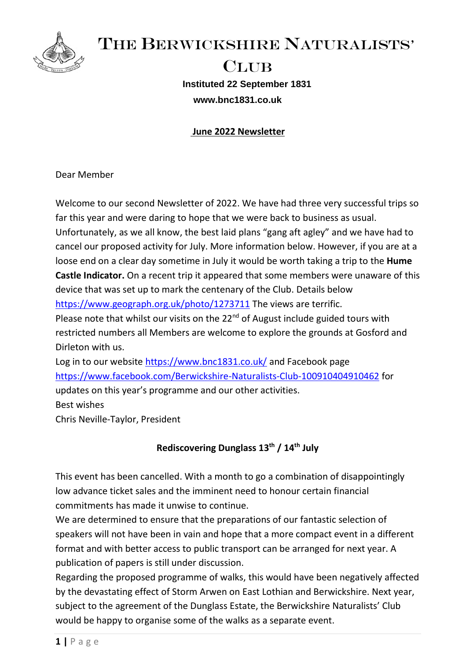

THE BERWICKSHIRE NATURALISTS'

# CLUB **Instituted 22 September 1831 www.bnc1831.co.uk**

## **June 2022 Newsletter**

Dear Member

Welcome to our second Newsletter of 2022. We have had three very successful trips so far this year and were daring to hope that we were back to business as usual. Unfortunately, as we all know, the best laid plans "gang aft agley" and we have had to cancel our proposed activity for July. More information below. However, if you are at a loose end on a clear day sometime in July it would be worth taking a trip to the **Hume Castle Indicator.** On a recent trip it appeared that some members were unaware of this device that was set up to mark the centenary of the Club. Details below <https://www.geograph.org.uk/photo/1273711> The views are terrific. Please note that whilst our visits on the  $22<sup>nd</sup>$  of August include guided tours with restricted numbers all Members are welcome to explore the grounds at Gosford and Dirleton with us. Log in to our website<https://www.bnc1831.co.uk/> and Facebook page <https://www.facebook.com/Berwickshire-Naturalists-Club-100910404910462> for updates on this year's programme and our other activities.

Best wishes

Chris Neville-Taylor, President

# **Rediscovering Dunglass 13th / 14th July**

This event has been cancelled. With a month to go a combination of disappointingly low advance ticket sales and the imminent need to honour certain financial commitments has made it unwise to continue.

We are determined to ensure that the preparations of our fantastic selection of speakers will not have been in vain and hope that a more compact event in a different format and with better access to public transport can be arranged for next year. A publication of papers is still under discussion.

Regarding the proposed programme of walks, this would have been negatively affected by the devastating effect of Storm Arwen on East Lothian and Berwickshire. Next year, subject to the agreement of the Dunglass Estate, the Berwickshire Naturalists' Club would be happy to organise some of the walks as a separate event.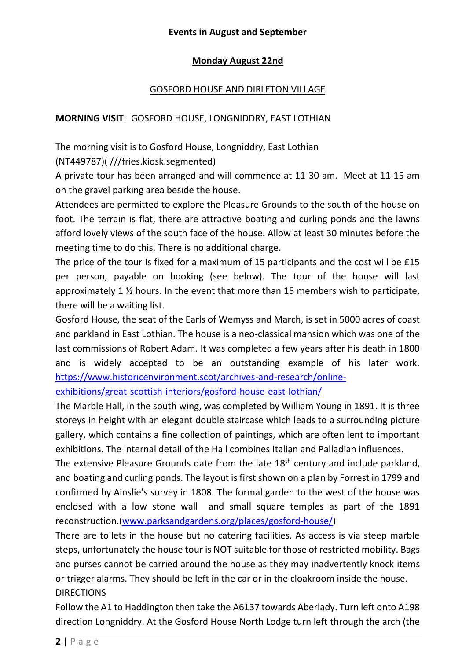#### **Events in August and September**

## **Monday August 22nd**

#### GOSFORD HOUSE AND DIRLETON VILLAGE

#### **MORNING VISIT**: GOSFORD HOUSE, LONGNIDDRY, EAST LOTHIAN

The morning visit is to Gosford House, Longniddry, East Lothian

(NT449787)( ///fries.kiosk.segmented)

A private tour has been arranged and will commence at 11-30 am. Meet at 11-15 am on the gravel parking area beside the house.

Attendees are permitted to explore the Pleasure Grounds to the south of the house on foot. The terrain is flat, there are attractive boating and curling ponds and the lawns afford lovely views of the south face of the house. Allow at least 30 minutes before the meeting time to do this. There is no additional charge.

The price of the tour is fixed for a maximum of 15 participants and the cost will be £15 per person, payable on booking (see below). The tour of the house will last approximately 1  $\frac{1}{2}$  hours. In the event that more than 15 members wish to participate, there will be a waiting list.

Gosford House, the seat of the Earls of Wemyss and March, is set in 5000 acres of coast and parkland in East Lothian. The house is a neo-classical mansion which was one of the last commissions of Robert Adam. It was completed a few years after his death in 1800 and is widely accepted to be an outstanding example of his later work. [https://www.historicenvironment.scot/archives-and-research/online-](https://www.historicenvironment.scot/archives-and-research/online-exhibitions/great-scottish-interiors/gosford-house-east-lothian/)

[exhibitions/great-scottish-interiors/gosford-house-east-lothian/](https://www.historicenvironment.scot/archives-and-research/online-exhibitions/great-scottish-interiors/gosford-house-east-lothian/)

The Marble Hall, in the south wing, was completed by William Young in 1891. It is three storeys in height with an elegant double staircase which leads to a surrounding picture gallery, which contains a fine collection of paintings, which are often lent to important exhibitions. The internal detail of the Hall combines Italian and Palladian influences.

The extensive Pleasure Grounds date from the late  $18<sup>th</sup>$  century and include parkland, and boating and curling ponds. The layout is first shown on a plan by Forrest in 1799 and confirmed by Ainslie's survey in 1808. The formal garden to the west of the house was enclosed with a low stone wall and small square temples as part of the 1891 reconstruction.[\(www.parksandgardens.org/places/gosford-house/\)](http://www.parksandgardens.org/places/gosford-house/)

There are toilets in the house but no catering facilities. As access is via steep marble steps, unfortunately the house tour is NOT suitable for those of restricted mobility. Bags and purses cannot be carried around the house as they may inadvertently knock items or trigger alarms. They should be left in the car or in the cloakroom inside the house. DIRECTIONS

Follow the A1 to Haddington then take the A6137 towards Aberlady. Turn left onto A198 direction Longniddry. At the Gosford House North Lodge turn left through the arch (the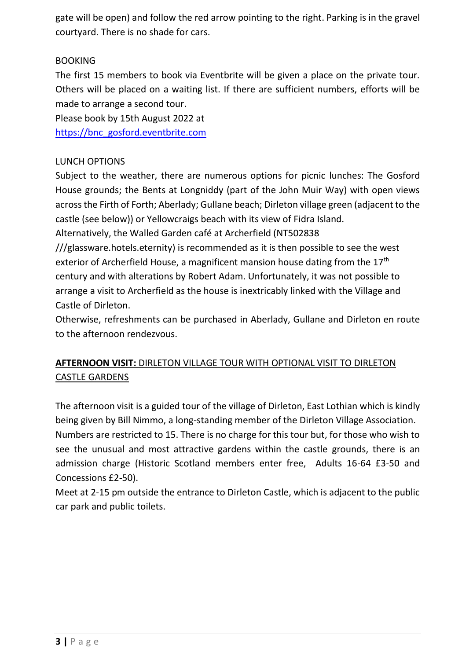gate will be open) and follow the red arrow pointing to the right. Parking is in the gravel courtyard. There is no shade for cars.

# BOOKING

The first 15 members to book via Eventbrite will be given a place on the private tour. Others will be placed on a waiting list. If there are sufficient numbers, efforts will be made to arrange a second tour.

Please book by 15th August 2022 at

[https://bnc\\_gosford.eventbrite.com](https://bnc_gosford.eventbrite.com/)

# LUNCH OPTIONS

Subject to the weather, there are numerous options for picnic lunches: The Gosford House grounds; the Bents at Longniddy (part of the John Muir Way) with open views across the Firth of Forth; Aberlady; Gullane beach; Dirleton village green (adjacent to the castle (see below)) or Yellowcraigs beach with its view of Fidra Island.

Alternatively, the Walled Garden café at Archerfield (NT502838

///glassware.hotels.eternity) is recommended as it is then possible to see the west exterior of Archerfield House, a magnificent mansion house dating from the  $17<sup>th</sup>$ century and with alterations by Robert Adam. Unfortunately, it was not possible to arrange a visit to Archerfield as the house is inextricably linked with the Village and Castle of Dirleton.

Otherwise, refreshments can be purchased in Aberlady, Gullane and Dirleton en route to the afternoon rendezvous.

# **AFTERNOON VISIT:** DIRLETON VILLAGE TOUR WITH OPTIONAL VISIT TO DIRLETON CASTLE GARDENS

The afternoon visit is a guided tour of the village of Dirleton, East Lothian which is kindly being given by Bill Nimmo, a long-standing member of the Dirleton Village Association. Numbers are restricted to 15. There is no charge for this tour but, for those who wish to see the unusual and most attractive gardens within the castle grounds, there is an admission charge (Historic Scotland members enter free, Adults 16-64 £3-50 and Concessions £2-50).

Meet at 2-15 pm outside the entrance to Dirleton Castle, which is adjacent to the public car park and public toilets.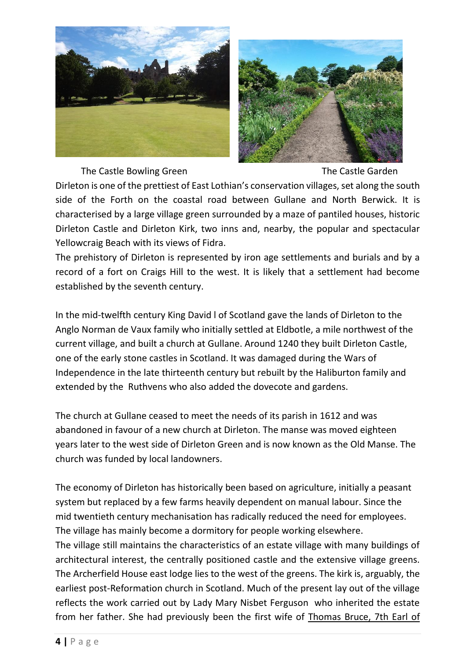



The Castle Bowling Green The Castle Garden

Dirleton is one of the prettiest of East Lothian's conservation villages, set along the south side of the Forth on the coastal road between Gullane and North Berwick. It is characterised by a large village green surrounded by a maze of pantiled houses, historic Dirleton Castle and Dirleton Kirk, two inns and, nearby, the popular and spectacular Yellowcraig Beach with its views of Fidra.

The prehistory of Dirleton is represented by iron age settlements and burials and by a record of a fort on Craigs Hill to the west. It is likely that a settlement had become established by the seventh century.

In the mid-twelfth century King David l of Scotland gave the lands of Dirleton to the Anglo Norman de Vaux family who initially settled at Eldbotle, a mile northwest of the current village, and built a church at Gullane. Around 1240 they built Dirleton Castle, one of the early stone castles in Scotland. It was damaged during the Wars of Independence in the late thirteenth century but rebuilt by the Haliburton family and extended by the Ruthvens who also added the dovecote and gardens.

The church at Gullane ceased to meet the needs of its parish in 1612 and was abandoned in favour of a new church at Dirleton. The manse was moved eighteen years later to the west side of Dirleton Green and is now known as the Old Manse. The church was funded by local landowners.

The economy of Dirleton has historically been based on agriculture, initially a peasant system but replaced by a few farms heavily dependent on manual labour. Since the mid twentieth century mechanisation has radically reduced the need for employees. The village has mainly become a dormitory for people working elsewhere. The village still maintains the characteristics of an estate village with many buildings of architectural interest, the centrally positioned castle and the extensive village greens. The Archerfield House east lodge lies to the west of the greens. The kirk is, arguably, the earliest post-Reformation church in Scotland. Much of the present lay out of the village reflects the work carried out by Lady Mary Nisbet Ferguson who inherited the estate from her father. She had previously been the first wife of [Thomas Bruce, 7th Earl of](https://en.wikipedia.org/wiki/Thomas_Bruce,_7th_Earl_of_Elgin)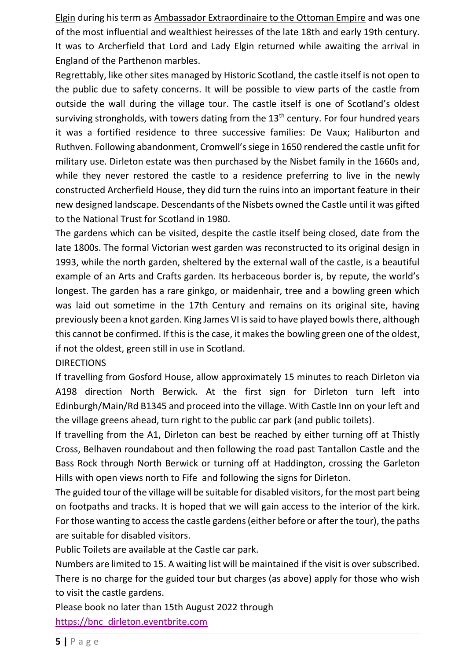[Elgin](https://en.wikipedia.org/wiki/Thomas_Bruce,_7th_Earl_of_Elgin) during his term as [Ambassador Extraordinaire to the Ottoman Empire](https://en.wikipedia.org/wiki/List_of_diplomats_of_the_United_Kingdom_to_the_Ottoman_Empire) and was one of the most influential and wealthiest heiresses of the late 18th and early 19th century. It was to Archerfield that Lord and Lady Elgin returned while awaiting the arrival in England of the Parthenon marbles.

Regrettably, like other sites managed by Historic Scotland, the castle itself is not open to the public due to safety concerns. It will be possible to view parts of the castle from outside the wall during the village tour. The castle itself is one of Scotland's oldest surviving strongholds, with towers dating from the  $13<sup>th</sup>$  century. For four hundred years it was a fortified residence to three successive families: De Vaux; Haliburton and Ruthven. Following abandonment, Cromwell's siege in 1650 rendered the castle unfit for military use. Dirleton estate was then purchased by the Nisbet family in the 1660s and, while they never restored the castle to a residence preferring to live in the newly constructed Archerfield House, they did turn the ruins into an important feature in their new designed landscape. Descendants of the Nisbets owned the Castle until it was gifted to the National Trust for Scotland in 1980.

The gardens which can be visited, despite the castle itself being closed, date from the late 1800s. The formal Victorian west garden was reconstructed to its original design in 1993, while the north garden, sheltered by the external wall of the castle, is a beautiful example of an Arts and Crafts garden. Its herbaceous border is, by repute, the world's longest. The garden has a rare ginkgo, or maidenhair, tree and a bowling green which was laid out sometime in the 17th Century and remains on its original site, having previously been a knot garden. King James VI is said to have played bowls there, although this cannot be confirmed. If this is the case, it makesthe bowling green one of the oldest, if not the oldest, green still in use in Scotland.

DIRECTIONS

If travelling from Gosford House, allow approximately 15 minutes to reach Dirleton via A198 direction North Berwick. At the first sign for Dirleton turn left into Edinburgh/Main/Rd B1345 and proceed into the village. With Castle Inn on your left and the village greens ahead, turn right to the public car park (and public toilets).

If travelling from the A1, Dirleton can best be reached by either turning off at Thistly Cross, Belhaven roundabout and then following the road past Tantallon Castle and the Bass Rock through North Berwick or turning off at Haddington, crossing the Garleton Hills with open views north to Fife and following the signs for Dirleton.

The guided tour of the village will be suitable for disabled visitors, for the most part being on footpaths and tracks. It is hoped that we will gain access to the interior of the kirk. For those wanting to access the castle gardens (either before or after the tour), the paths are suitable for disabled visitors.

Public Toilets are available at the Castle car park.

Numbers are limited to 15. A waiting list will be maintained if the visit is over subscribed. There is no charge for the guided tour but charges (as above) apply for those who wish to visit the castle gardens.

Please book no later than 15th August 2022 through [https://bnc\\_dirleton.eventbrite.com](https://bnc_dirleton.eventbrite.com/)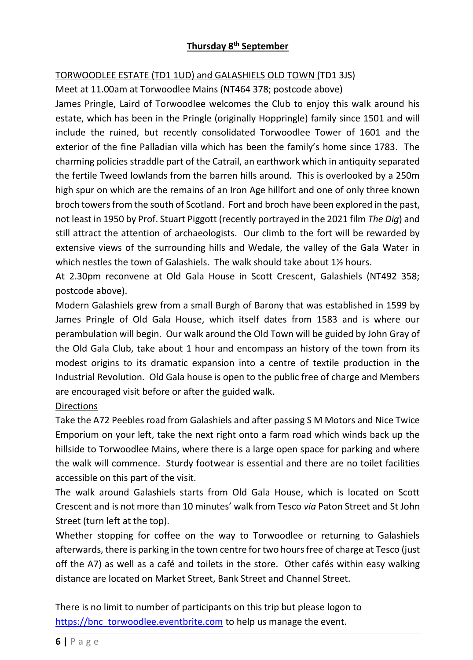# **Thursday 8th September**

## TORWOODLEE ESTATE (TD1 1UD) and GALASHIELS OLD TOWN (TD1 3JS)

Meet at 11.00am at Torwoodlee Mains (NT464 378; postcode above)

James Pringle, Laird of Torwoodlee welcomes the Club to enjoy this walk around his estate, which has been in the Pringle (originally Hoppringle) family since 1501 and will include the ruined, but recently consolidated Torwoodlee Tower of 1601 and the exterior of the fine Palladian villa which has been the family's home since 1783. The charming policies straddle part of the Catrail, an earthwork which in antiquity separated the fertile Tweed lowlands from the barren hills around. This is overlooked by a 250m high spur on which are the remains of an Iron Age hillfort and one of only three known broch towers from the south of Scotland. Fort and broch have been explored in the past, not least in 1950 by Prof. Stuart Piggott (recently portrayed in the 2021 film *The Dig*) and still attract the attention of archaeologists. Our climb to the fort will be rewarded by extensive views of the surrounding hills and Wedale, the valley of the Gala Water in which nestles the town of Galashiels. The walk should take about 1<sup>1</sup>/<sub>2</sub> hours.

At 2.30pm reconvene at Old Gala House in Scott Crescent, Galashiels (NT492 358; postcode above).

Modern Galashiels grew from a small Burgh of Barony that was established in 1599 by James Pringle of Old Gala House, which itself dates from 1583 and is where our perambulation will begin. Our walk around the Old Town will be guided by John Gray of the Old Gala Club, take about 1 hour and encompass an history of the town from its modest origins to its dramatic expansion into a centre of textile production in the Industrial Revolution. Old Gala house is open to the public free of charge and Members are encouraged visit before or after the guided walk.

#### **Directions**

Take the A72 Peebles road from Galashiels and after passing S M Motors and Nice Twice Emporium on your left, take the next right onto a farm road which winds back up the hillside to Torwoodlee Mains, where there is a large open space for parking and where the walk will commence. Sturdy footwear is essential and there are no toilet facilities accessible on this part of the visit.

The walk around Galashiels starts from Old Gala House, which is located on Scott Crescent and is not more than 10 minutes' walk from Tesco *via* Paton Street and St John Street (turn left at the top).

Whether stopping for coffee on the way to Torwoodlee or returning to Galashiels afterwards, there is parking in the town centre for two hours free of charge at Tesco (just off the A7) as well as a café and toilets in the store. Other cafés within easy walking distance are located on Market Street, Bank Street and Channel Street.

There is no limit to number of participants on this trip but please logon to [https://bnc\\_torwoodlee.eventbrite.com](https://bnc_torwoodlee.eventbrite.com/) to help us manage the event.